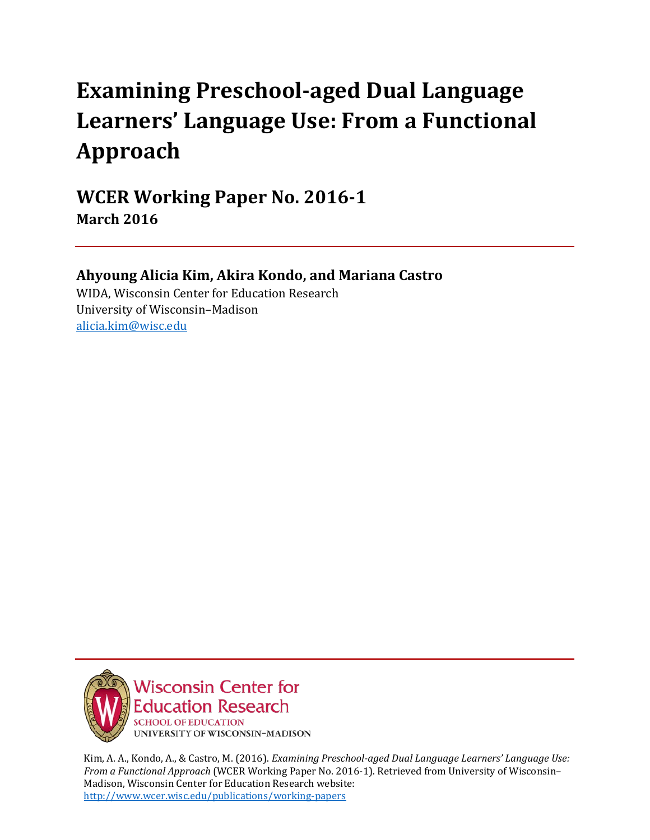# **Examining Preschool-aged Dual Language Learners' Language Use: From a Functional Approach**

**WCER Working Paper No. 2016-1 March 2016**

## **Ahyoung Alicia Kim, Akira Kondo, and Mariana Castro**

WIDA, Wisconsin Center for Education Research University of Wisconsin–Madison [alicia.kim@wisc.edu](mailto:alicia.kim@wisc.edu)



Kim, A. A., Kondo, A., & Castro, M. (2016). *Examining Preschool-aged Dual Language Learners' Language Use: From a Functional Approach* (WCER Working Paper No. 2016-1). Retrieved from University of Wisconsin– Madison, Wisconsin Center for Education Research website: <http://www.wcer.wisc.edu/publications/working-papers>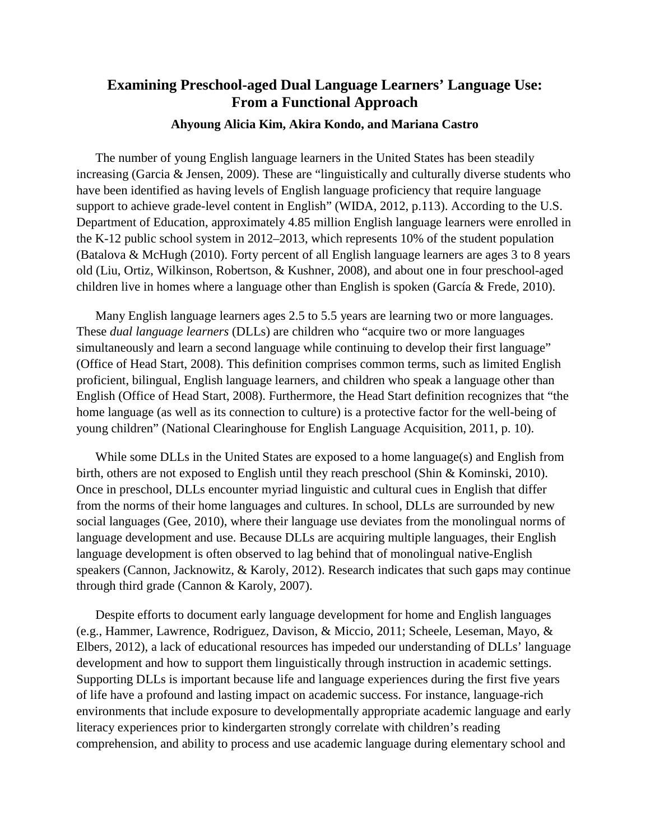## **Examining Preschool-aged Dual Language Learners' Language Use: From a Functional Approach**

#### **Ahyoung Alicia Kim, Akira Kondo, and Mariana Castro**

The number of young English language learners in the United States has been steadily increasing (Garcia & Jensen, 2009). These are "linguistically and culturally diverse students who have been identified as having levels of English language proficiency that require language support to achieve grade-level content in English" (WIDA, 2012, p.113). According to the U.S. Department of Education, approximately 4.85 million English language learners were enrolled in the K-12 public school system in 2012–2013, which represents 10% of the student population (Batalova & McHugh (2010). Forty percent of all English language learners are ages 3 to 8 years old (Liu, Ortiz, Wilkinson, Robertson, & Kushner, 2008), and about one in four preschool-aged children live in homes where a language other than English is spoken (García & Frede, 2010).

Many English language learners ages 2.5 to 5.5 years are learning two or more languages. These *dual language learners* (DLLs) are children who "acquire two or more languages simultaneously and learn a second language while continuing to develop their first language" (Office of Head Start, 2008). This definition comprises common terms, such as limited English proficient, bilingual, English language learners, and children who speak a language other than English (Office of Head Start, 2008). Furthermore, the Head Start definition recognizes that "the home language (as well as its connection to culture) is a protective factor for the well-being of young children" (National Clearinghouse for English Language Acquisition, 2011, p. 10).

While some DLLs in the United States are exposed to a home language(s) and English from birth, others are not exposed to English until they reach preschool (Shin & Kominski, 2010). Once in preschool, DLLs encounter myriad linguistic and cultural cues in English that differ from the norms of their home languages and cultures. In school, DLLs are surrounded by new social languages (Gee, 2010), where their language use deviates from the monolingual norms of language development and use. Because DLLs are acquiring multiple languages, their English language development is often observed to lag behind that of monolingual native-English speakers (Cannon, Jacknowitz, & Karoly, 2012). Research indicates that such gaps may continue through third grade (Cannon & Karoly, 2007).

Despite efforts to document early language development for home and English languages (e.g., Hammer, Lawrence, Rodriguez, Davison, & Miccio, 2011; Scheele, Leseman, Mayo, & Elbers, 2012), a lack of educational resources has impeded our understanding of DLLs' language development and how to support them linguistically through instruction in academic settings. Supporting DLLs is important because life and language experiences during the first five years of life have a profound and lasting impact on academic success. For instance, language-rich environments that include exposure to developmentally appropriate academic language and early literacy experiences prior to kindergarten strongly correlate with children's reading comprehension, and ability to process and use academic language during elementary school and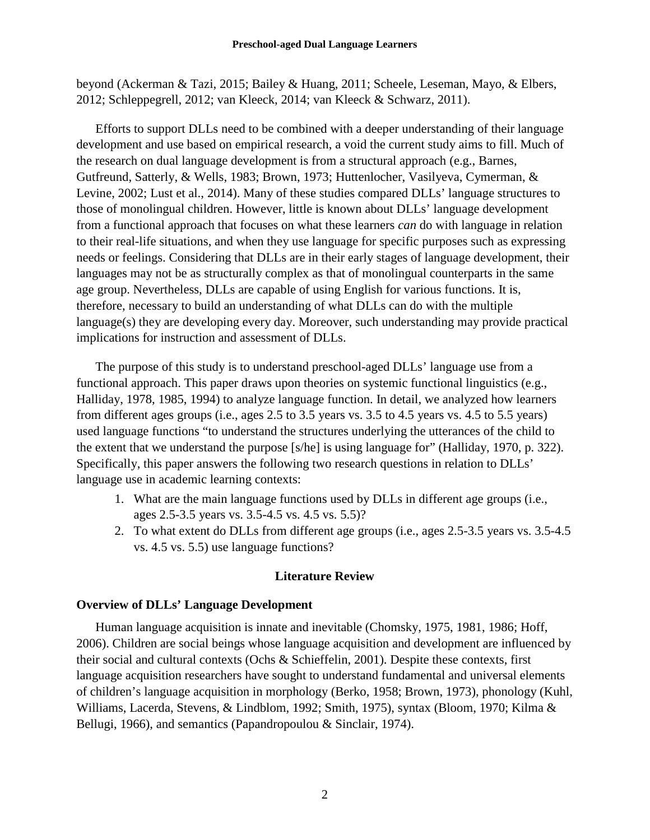beyond (Ackerman & Tazi, 2015; Bailey & Huang, 2011; Scheele, Leseman, Mayo, & Elbers, 2012; Schleppegrell, 2012; van Kleeck, 2014; van Kleeck & Schwarz, 2011).

Efforts to support DLLs need to be combined with a deeper understanding of their language development and use based on empirical research, a void the current study aims to fill. Much of the research on dual language development is from a structural approach (e.g., Barnes, Gutfreund, Satterly, & Wells, 1983; Brown, 1973; Huttenlocher, Vasilyeva, Cymerman, & Levine, 2002; Lust et al., 2014). Many of these studies compared DLLs' language structures to those of monolingual children. However, little is known about DLLs' language development from a functional approach that focuses on what these learners *can* do with language in relation to their real-life situations, and when they use language for specific purposes such as expressing needs or feelings. Considering that DLLs are in their early stages of language development, their languages may not be as structurally complex as that of monolingual counterparts in the same age group. Nevertheless, DLLs are capable of using English for various functions. It is, therefore, necessary to build an understanding of what DLLs can do with the multiple language(s) they are developing every day. Moreover, such understanding may provide practical implications for instruction and assessment of DLLs.

The purpose of this study is to understand preschool-aged DLLs' language use from a functional approach. This paper draws upon theories on systemic functional linguistics (e.g., Halliday, 1978, 1985, 1994) to analyze language function. In detail, we analyzed how learners from different ages groups (i.e., ages 2.5 to 3.5 years vs. 3.5 to 4.5 years vs. 4.5 to 5.5 years) used language functions "to understand the structures underlying the utterances of the child to the extent that we understand the purpose [s/he] is using language for" (Halliday, 1970, p. 322). Specifically, this paper answers the following two research questions in relation to DLLs' language use in academic learning contexts:

- 1. What are the main language functions used by DLLs in different age groups (i.e., ages 2.5-3.5 years vs. 3.5-4.5 vs. 4.5 vs. 5.5)?
- 2. To what extent do DLLs from different age groups (i.e., ages 2.5-3.5 years vs. 3.5-4.5 vs. 4.5 vs. 5.5) use language functions?

#### **Literature Review**

#### **Overview of DLLs' Language Development**

Human language acquisition is innate and inevitable (Chomsky, 1975, 1981, 1986; Hoff, 2006). Children are social beings whose language acquisition and development are influenced by their social and cultural contexts (Ochs & Schieffelin, 2001). Despite these contexts, first language acquisition researchers have sought to understand fundamental and universal elements of children's language acquisition in morphology (Berko, 1958; Brown, 1973), phonology (Kuhl, Williams, Lacerda, Stevens, & Lindblom, 1992; Smith, 1975), syntax (Bloom, 1970; Kilma & Bellugi, 1966), and semantics (Papandropoulou & Sinclair, 1974).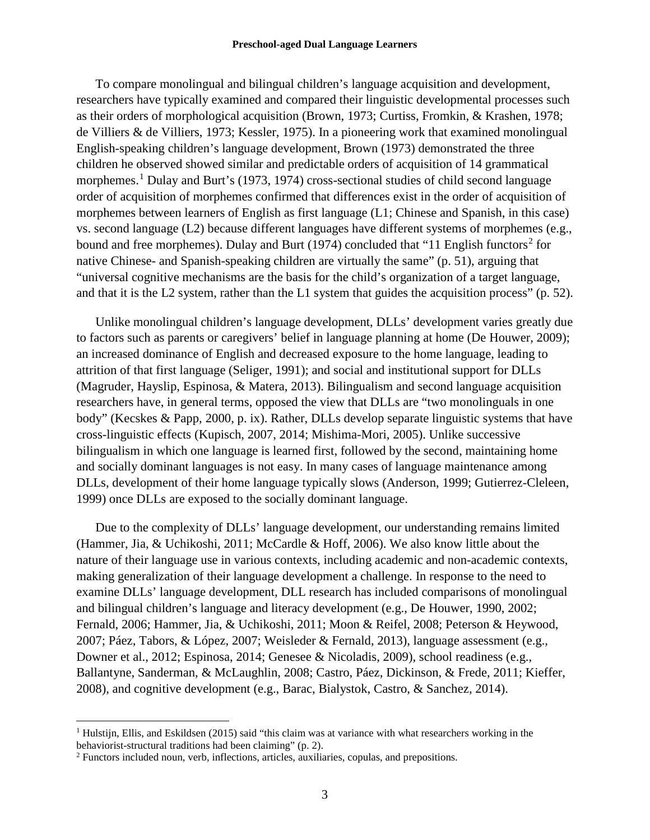#### **Preschool-aged Dual Language Learners**

To compare monolingual and bilingual children's language acquisition and development, researchers have typically examined and compared their linguistic developmental processes such as their orders of morphological acquisition (Brown, 1973; Curtiss, Fromkin, & Krashen, 1978; de Villiers & de Villiers, 1973; Kessler, 1975). In a pioneering work that examined monolingual English-speaking children's language development, Brown (1973) demonstrated the three children he observed showed similar and predictable orders of acquisition of 14 grammatical morphemes. [1](#page-3-0) Dulay and Burt's (1973, 1974) cross-sectional studies of child second language order of acquisition of morphemes confirmed that differences exist in the order of acquisition of morphemes between learners of English as first language (L1; Chinese and Spanish, in this case) vs. second language (L2) because different languages have different systems of morphemes (e.g., bound and free morphemes). Dulay and Burt (1974) concluded that "11 English functors<sup>[2](#page-3-1)</sup> for native Chinese- and Spanish-speaking children are virtually the same" (p. 51), arguing that "universal cognitive mechanisms are the basis for the child's organization of a target language, and that it is the L2 system, rather than the L1 system that guides the acquisition process" (p. 52).

Unlike monolingual children's language development, DLLs' development varies greatly due to factors such as parents or caregivers' belief in language planning at home (De Houwer, 2009); an increased dominance of English and decreased exposure to the home language, leading to attrition of that first language (Seliger, 1991); and social and institutional support for DLLs (Magruder, Hayslip, Espinosa, & Matera, 2013). Bilingualism and second language acquisition researchers have, in general terms, opposed the view that DLLs are "two monolinguals in one body" (Kecskes & Papp, 2000, p. ix). Rather, DLLs develop separate linguistic systems that have cross-linguistic effects (Kupisch, 2007, 2014; Mishima-Mori, 2005). Unlike successive bilingualism in which one language is learned first, followed by the second, maintaining home and socially dominant languages is not easy. In many cases of language maintenance among DLLs, development of their home language typically slows (Anderson, 1999; Gutierrez-Cleleen, 1999) once DLLs are exposed to the socially dominant language.

Due to the complexity of DLLs' language development, our understanding remains limited (Hammer, Jia, & Uchikoshi, 2011; McCardle & Hoff, 2006). We also know little about the nature of their language use in various contexts, including academic and non-academic contexts, making generalization of their language development a challenge. In response to the need to examine DLLs' language development, DLL research has included comparisons of monolingual and bilingual children's language and literacy development (e.g., De Houwer, 1990, 2002; Fernald, 2006; Hammer, Jia, & Uchikoshi, 2011; Moon & Reifel, 2008; Peterson & Heywood, 2007; Páez, Tabors, & López, 2007; Weisleder & Fernald, 2013), language assessment (e.g., Downer et al., 2012; Espinosa, 2014; Genesee & Nicoladis, 2009), school readiness (e.g., Ballantyne, Sanderman, & McLaughlin, 2008; Castro, Páez, Dickinson, & Frede, 2011; Kieffer, 2008), and cognitive development (e.g., Barac, Bialystok, Castro, & Sanchez, 2014).

<span id="page-3-0"></span><sup>&</sup>lt;sup>1</sup> Hulstijn, Ellis, and Eskildsen (2015) said "this claim was at variance with what researchers working in the behaviorist-structural traditions had been claiming" (p. 2).

<span id="page-3-1"></span><sup>&</sup>lt;sup>2</sup> Functors included noun, verb, inflections, articles, auxiliaries, copulas, and prepositions.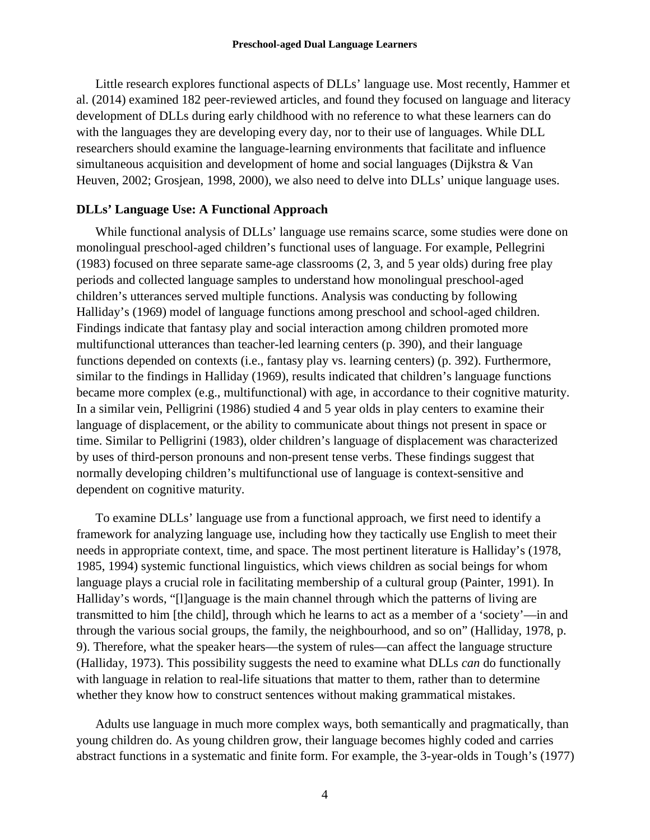Little research explores functional aspects of DLLs' language use. Most recently, Hammer et al. (2014) examined 182 peer-reviewed articles, and found they focused on language and literacy development of DLLs during early childhood with no reference to what these learners can do with the languages they are developing every day, nor to their use of languages. While DLL researchers should examine the language-learning environments that facilitate and influence simultaneous acquisition and development of home and social languages (Dijkstra & Van Heuven, 2002; Grosjean, 1998, 2000), we also need to delve into DLLs' unique language uses.

#### **DLLs' Language Use: A Functional Approach**

While functional analysis of DLLs' language use remains scarce, some studies were done on monolingual preschool-aged children's functional uses of language. For example, Pellegrini (1983) focused on three separate same-age classrooms (2, 3, and 5 year olds) during free play periods and collected language samples to understand how monolingual preschool-aged children's utterances served multiple functions. Analysis was conducting by following Halliday's (1969) model of language functions among preschool and school-aged children. Findings indicate that fantasy play and social interaction among children promoted more multifunctional utterances than teacher-led learning centers (p. 390), and their language functions depended on contexts (i.e., fantasy play vs. learning centers) (p. 392). Furthermore, similar to the findings in Halliday (1969), results indicated that children's language functions became more complex (e.g., multifunctional) with age, in accordance to their cognitive maturity. In a similar vein, Pelligrini (1986) studied 4 and 5 year olds in play centers to examine their language of displacement, or the ability to communicate about things not present in space or time. Similar to Pelligrini (1983), older children's language of displacement was characterized by uses of third-person pronouns and non-present tense verbs. These findings suggest that normally developing children's multifunctional use of language is context-sensitive and dependent on cognitive maturity.

To examine DLLs' language use from a functional approach, we first need to identify a framework for analyzing language use, including how they tactically use English to meet their needs in appropriate context, time, and space. The most pertinent literature is Halliday's (1978, 1985, 1994) systemic functional linguistics, which views children as social beings for whom language plays a crucial role in facilitating membership of a cultural group (Painter, 1991). In Halliday's words, "[l]anguage is the main channel through which the patterns of living are transmitted to him [the child], through which he learns to act as a member of a 'society'—in and through the various social groups, the family, the neighbourhood, and so on" (Halliday, 1978, p. 9). Therefore, what the speaker hears—the system of rules—can affect the language structure (Halliday, 1973). This possibility suggests the need to examine what DLLs *can* do functionally with language in relation to real-life situations that matter to them, rather than to determine whether they know how to construct sentences without making grammatical mistakes.

Adults use language in much more complex ways, both semantically and pragmatically, than young children do. As young children grow, their language becomes highly coded and carries abstract functions in a systematic and finite form. For example, the 3-year-olds in Tough's (1977)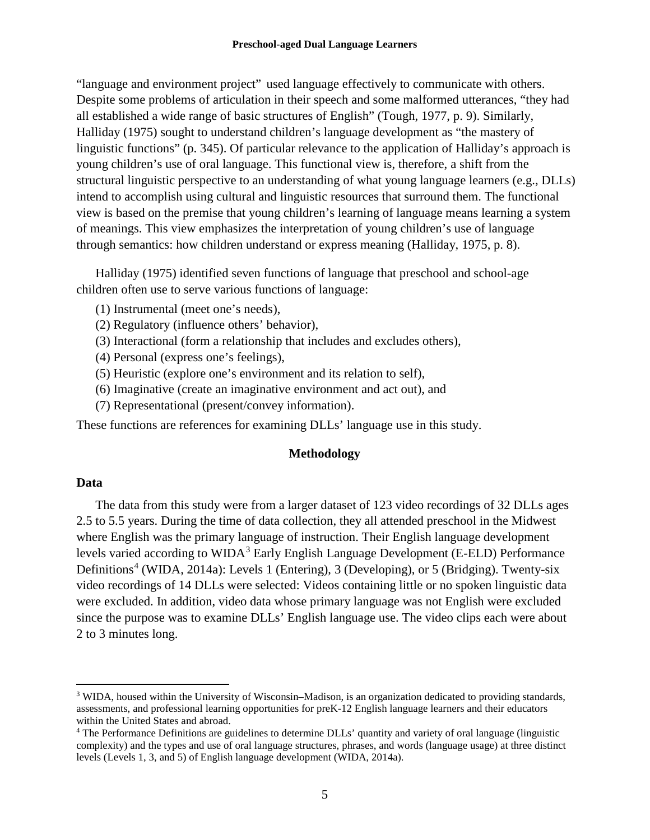"language and environment project" used language effectively to communicate with others. Despite some problems of articulation in their speech and some malformed utterances, "they had all established a wide range of basic structures of English" (Tough, 1977, p. 9). Similarly, Halliday (1975) sought to understand children's language development as "the mastery of linguistic functions" (p. 345). Of particular relevance to the application of Halliday's approach is young children's use of oral language. This functional view is, therefore, a shift from the structural linguistic perspective to an understanding of what young language learners (e.g., DLLs) intend to accomplish using cultural and linguistic resources that surround them. The functional view is based on the premise that young children's learning of language means learning a system of meanings. This view emphasizes the interpretation of young children's use of language through semantics: how children understand or express meaning (Halliday, 1975, p. 8).

Halliday (1975) identified seven functions of language that preschool and school-age children often use to serve various functions of language:

- (1) Instrumental (meet one's needs),
- (2) Regulatory (influence others' behavior),
- (3) Interactional (form a relationship that includes and excludes others),
- (4) Personal (express one's feelings),
- (5) Heuristic (explore one's environment and its relation to self),
- (6) Imaginative (create an imaginative environment and act out), and
- (7) Representational (present/convey information).

These functions are references for examining DLLs' language use in this study.

#### **Methodology**

#### **Data**

The data from this study were from a larger dataset of 123 video recordings of 32 DLLs ages 2.5 to 5.5 years. During the time of data collection, they all attended preschool in the Midwest where English was the primary language of instruction. Their English language development levels varied according to  $WIDA<sup>3</sup>$  $WIDA<sup>3</sup>$  $WIDA<sup>3</sup>$  Early English Language Development (E-ELD) Performance Definitions<sup>[4](#page-5-1)</sup> (WIDA, 2014a): Levels 1 (Entering), 3 (Developing), or 5 (Bridging). Twenty-six video recordings of 14 DLLs were selected: Videos containing little or no spoken linguistic data were excluded. In addition, video data whose primary language was not English were excluded since the purpose was to examine DLLs' English language use. The video clips each were about 2 to 3 minutes long.

<span id="page-5-0"></span><sup>&</sup>lt;sup>3</sup> WIDA, housed within the University of Wisconsin–Madison, is an organization dedicated to providing standards, assessments, and professional learning opportunities for preK-12 English language learners and their educators within the United States and abroad.<br><sup>4</sup> The Performance Definitions are guidelines to determine DLLs' quantity and variety of oral language (linguistic

<span id="page-5-1"></span>complexity) and the types and use of oral language structures, phrases, and words (language usage) at three distinct levels (Levels 1, 3, and 5) of English language development (WIDA, 2014a).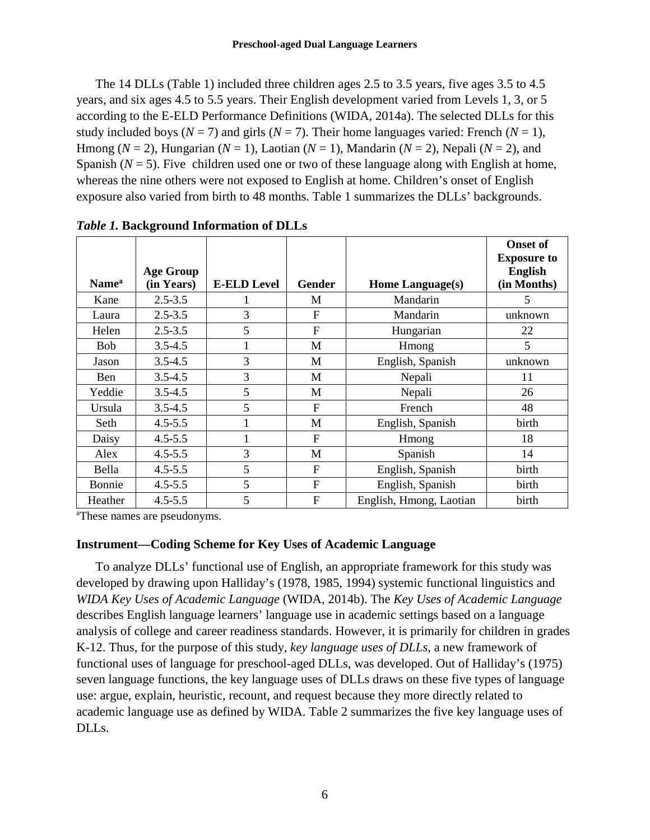The 14 DLLs (Table 1) included three children ages 2.5 to 3.5 years, five ages 3.5 to 4.5 years, and six ages 4.5 to 5.5 years. Their English development varied from Levels 1, 3, or 5 according to the E-ELD Performance Definitions (WIDA, 2014a). The selected DLLs for this study included boys ( $N = 7$ ) and girls ( $N = 7$ ). Their home languages varied: French ( $N = 1$ ), Hmong ( $N = 2$ ), Hungarian ( $N = 1$ ), Laotian ( $N = 1$ ), Mandarin ( $N = 2$ ), Nepali ( $N = 2$ ), and Spanish  $(N = 5)$ . Five children used one or two of these language along with English at home, whereas the nine others were not exposed to English at home. Children's onset of English exposure also varied from birth to 48 months. Table 1 summarizes the DLLs' backgrounds.

| Name <sup>a</sup> | <b>Age Group</b><br>(in Years) | <b>E-ELD Level</b> | Gender       | Home Language(s)        | <b>Onset of</b><br><b>Exposure to</b><br><b>English</b><br>(in Months) |
|-------------------|--------------------------------|--------------------|--------------|-------------------------|------------------------------------------------------------------------|
| Kane              | $2.5 - 3.5$                    |                    | M            | Mandarin                | 5                                                                      |
| Laura             | $2.5 - 3.5$                    | 3                  | $\mathbf{F}$ | Mandarin                | unknown                                                                |
| Helen             | $2.5 - 3.5$                    | 5                  | F            | Hungarian               | 22                                                                     |
| <b>Bob</b>        | $3.5 - 4.5$                    | 1                  | M            | Hmong                   | 5                                                                      |
| Jason             | $3.5 - 4.5$                    | 3                  | M            | English, Spanish        | unknown                                                                |
| Ben               | $3.5 - 4.5$                    | 3                  | M            | Nepali                  | 11                                                                     |
| Yeddie            | $3.5 - 4.5$                    | 5                  | M            | Nepali                  | 26                                                                     |
| Ursula            | $3.5 - 4.5$                    | 5                  | F            | French                  | 48                                                                     |
| Seth              | $4.5 - 5.5$                    |                    | M            | English, Spanish        | birth                                                                  |
| Daisy             | $4.5 - 5.5$                    |                    | $\mathbf{F}$ | Hmong                   | 18                                                                     |
| Alex              | $4.5 - 5.5$                    | 3                  | M            | Spanish                 | 14                                                                     |
| Bella             | $4.5 - 5.5$                    | 5                  | F            | English, Spanish        | birth                                                                  |
| Bonnie            | $4.5 - 5.5$                    | 5                  | F            | English, Spanish        | birth                                                                  |
| Heather           | $4.5 - 5.5$                    | 5                  | F            | English, Hmong, Laotian | birth                                                                  |

*Table 1.* **Background Information of DLLs**

a These names are pseudonyms.

#### **Instrument—Coding Scheme for Key Uses of Academic Language**

To analyze DLLs' functional use of English, an appropriate framework for this study was developed by drawing upon Halliday's (1978, 1985, 1994) systemic functional linguistics and *WIDA Key Uses of Academic Language* (WIDA, 2014b). The *Key Uses of Academic Language* describes English language learners' language use in academic settings based on a language analysis of college and career readiness standards. However, it is primarily for children in grades K-12. Thus, for the purpose of this study, *key language uses of DLLs*, a new framework of functional uses of language for preschool-aged DLLs, was developed. Out of Halliday's (1975) seven language functions, the key language uses of DLLs draws on these five types of language use: argue, explain, heuristic, recount, and request because they more directly related to academic language use as defined by WIDA. Table 2 summarizes the five key language uses of DLLs.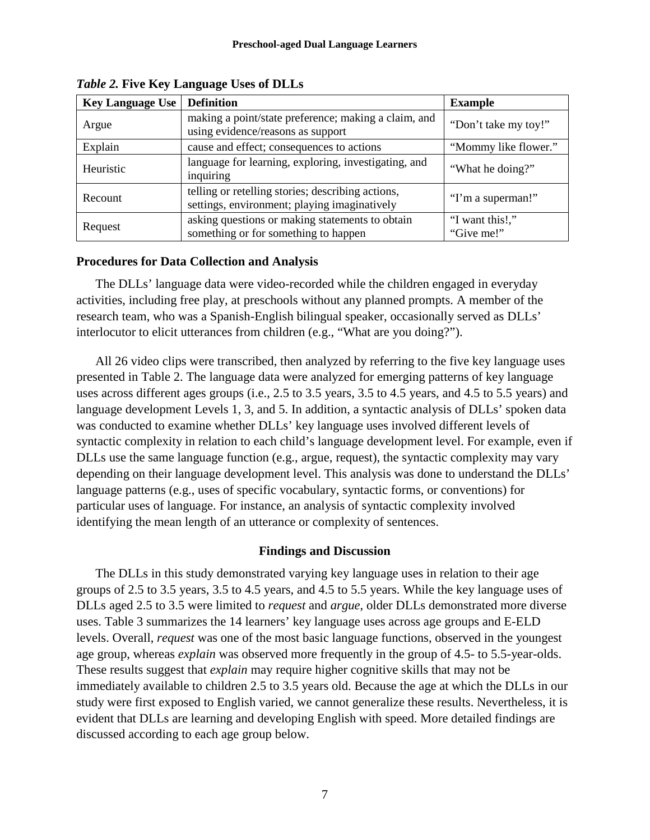| <b>Key Language Use</b>                                                                                      | <b>Definition</b>                                                                         | <b>Example</b>                |
|--------------------------------------------------------------------------------------------------------------|-------------------------------------------------------------------------------------------|-------------------------------|
| Argue                                                                                                        | making a point/state preference; making a claim, and<br>using evidence/reasons as support | "Don't take my toy!"          |
| Explain                                                                                                      | cause and effect; consequences to actions                                                 | "Mommy like flower."          |
| Heuristic                                                                                                    | language for learning, exploring, investigating, and<br>inquiring                         | "What he doing?"              |
| telling or retelling stories; describing actions,<br>Recount<br>settings, environment; playing imaginatively |                                                                                           | "I'm a superman!"             |
| asking questions or making statements to obtain<br>Request<br>something or for something to happen           |                                                                                           | "I want this!,"<br>"Give me!" |

*Table 2.* **Five Key Language Uses of DLLs**

#### **Procedures for Data Collection and Analysis**

The DLLs' language data were video-recorded while the children engaged in everyday activities, including free play, at preschools without any planned prompts. A member of the research team, who was a Spanish-English bilingual speaker, occasionally served as DLLs' interlocutor to elicit utterances from children (e.g., "What are you doing?").

All 26 video clips were transcribed, then analyzed by referring to the five key language uses presented in Table 2. The language data were analyzed for emerging patterns of key language uses across different ages groups (i.e., 2.5 to 3.5 years, 3.5 to 4.5 years, and 4.5 to 5.5 years) and language development Levels 1, 3, and 5. In addition, a syntactic analysis of DLLs' spoken data was conducted to examine whether DLLs' key language uses involved different levels of syntactic complexity in relation to each child's language development level. For example, even if DLLs use the same language function (e.g., argue, request), the syntactic complexity may vary depending on their language development level. This analysis was done to understand the DLLs' language patterns (e.g., uses of specific vocabulary, syntactic forms, or conventions) for particular uses of language. For instance, an analysis of syntactic complexity involved identifying the mean length of an utterance or complexity of sentences.

#### **Findings and Discussion**

The DLLs in this study demonstrated varying key language uses in relation to their age groups of 2.5 to 3.5 years, 3.5 to 4.5 years, and 4.5 to 5.5 years. While the key language uses of DLLs aged 2.5 to 3.5 were limited to *request* and *argue*, older DLLs demonstrated more diverse uses. Table 3 summarizes the 14 learners' key language uses across age groups and E-ELD levels. Overall, *request* was one of the most basic language functions, observed in the youngest age group, whereas *explain* was observed more frequently in the group of 4.5- to 5.5-year-olds. These results suggest that *explain* may require higher cognitive skills that may not be immediately available to children 2.5 to 3.5 years old. Because the age at which the DLLs in our study were first exposed to English varied, we cannot generalize these results. Nevertheless, it is evident that DLLs are learning and developing English with speed. More detailed findings are discussed according to each age group below.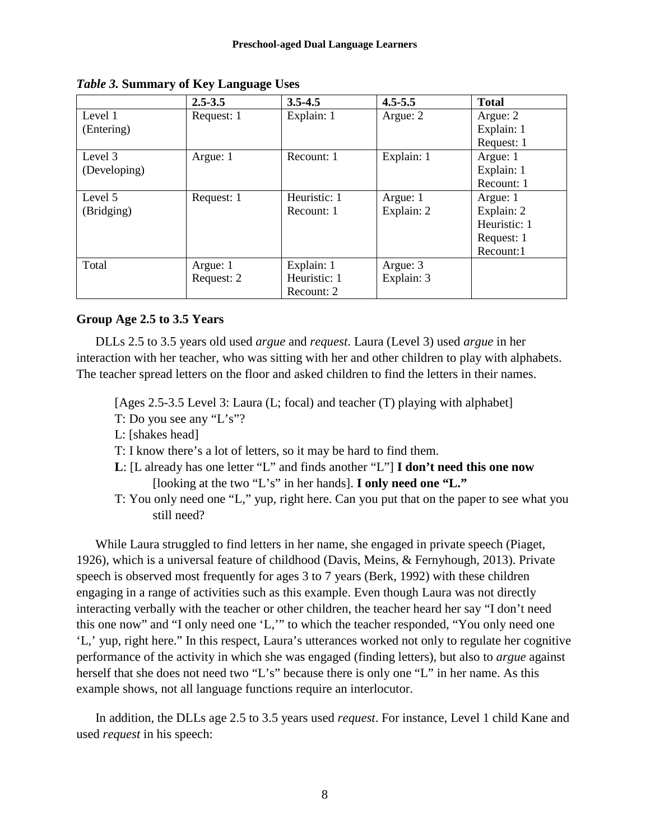|              | $2.5 - 3.5$ | $3.5 - 4.5$  | $4.5 - 5.5$ | <b>Total</b> |
|--------------|-------------|--------------|-------------|--------------|
| Level 1      | Request: 1  | Explain: 1   | Argue: 2    | Argue: 2     |
| (Entering)   |             |              |             | Explain: 1   |
|              |             |              |             | Request: 1   |
| Level 3      | Argue: 1    | Recount: 1   | Explain: 1  | Argue: 1     |
| (Developing) |             |              |             | Explain: 1   |
|              |             |              |             | Recount: 1   |
| Level 5      | Request: 1  | Heuristic: 1 | Argue: 1    | Argue: 1     |
| (Bridging)   |             | Recount: 1   | Explain: 2  | Explain: 2   |
|              |             |              |             | Heuristic: 1 |
|              |             |              |             | Request: 1   |
|              |             |              |             | Recount:1    |
| Total        | Argue: 1    | Explain: 1   | Argue: 3    |              |
|              | Request: 2  | Heuristic: 1 | Explain: 3  |              |
|              |             | Recount: 2   |             |              |

*Table 3.* **Summary of Key Language Uses**

#### **Group Age 2.5 to 3.5 Years**

DLLs 2.5 to 3.5 years old used *argue* and *request*. Laura (Level 3) used *argue* in her interaction with her teacher, who was sitting with her and other children to play with alphabets. The teacher spread letters on the floor and asked children to find the letters in their names.

[Ages 2.5-3.5 Level 3: Laura (L; focal) and teacher (T) playing with alphabet]

- T: Do you see any "L's"?
- L: [shakes head]
- T: I know there's a lot of letters, so it may be hard to find them.
- **L**: [L already has one letter "L" and finds another "L"] **I don't need this one now** [looking at the two "L's" in her hands]. **I only need one "L."**
- T: You only need one "L," yup, right here. Can you put that on the paper to see what you still need?

While Laura struggled to find letters in her name, she engaged in private speech (Piaget, 1926), which is a universal feature of childhood (Davis, Meins, & Fernyhough, 2013). Private speech is observed most frequently for ages 3 to 7 years (Berk, 1992) with these children engaging in a range of activities such as this example. Even though Laura was not directly interacting verbally with the teacher or other children, the teacher heard her say "I don't need this one now" and "I only need one 'L,'" to which the teacher responded, "You only need one 'L,' yup, right here." In this respect, Laura's utterances worked not only to regulate her cognitive performance of the activity in which she was engaged (finding letters), but also to *argue* against herself that she does not need two "L's" because there is only one "L" in her name. As this example shows, not all language functions require an interlocutor.

In addition, the DLLs age 2.5 to 3.5 years used *request*. For instance, Level 1 child Kane and used *request* in his speech: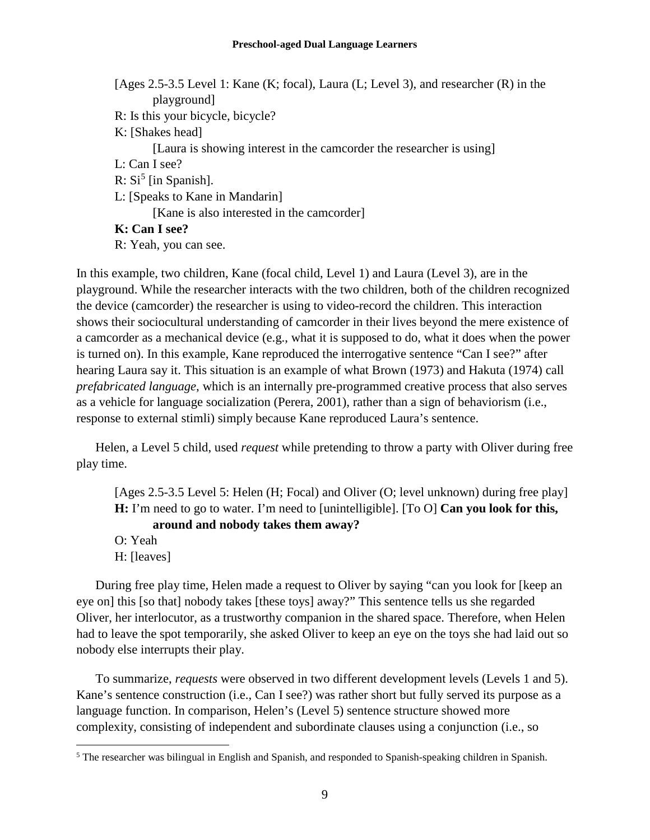- [Ages 2.5-3.5 Level 1: Kane (K; focal), Laura (L; Level 3), and researcher (R) in the playground]
- R: Is this your bicycle, bicycle?
- K: [Shakes head]

[Laura is showing interest in the camcorder the researcher is using]

- L: Can I see?
- R:  $Si<sup>5</sup>$  $Si<sup>5</sup>$  $Si<sup>5</sup>$  [in Spanish].
- L: [Speaks to Kane in Mandarin]

[Kane is also interested in the camcorder]

#### **K: Can I see?**

R: Yeah, you can see.

In this example, two children, Kane (focal child, Level 1) and Laura (Level 3), are in the playground. While the researcher interacts with the two children, both of the children recognized the device (camcorder) the researcher is using to video-record the children. This interaction shows their sociocultural understanding of camcorder in their lives beyond the mere existence of a camcorder as a mechanical device (e.g., what it is supposed to do, what it does when the power is turned on). In this example, Kane reproduced the interrogative sentence "Can I see?" after hearing Laura say it. This situation is an example of what Brown (1973) and Hakuta (1974) call *prefabricated language*, which is an internally pre-programmed creative process that also serves as a vehicle for language socialization (Perera, 2001), rather than a sign of behaviorism (i.e., response to external stimli) simply because Kane reproduced Laura's sentence.

Helen, a Level 5 child, used *request* while pretending to throw a party with Oliver during free play time.

[Ages 2.5-3.5 Level 5: Helen (H; Focal) and Oliver (O; level unknown) during free play] **H:** I'm need to go to water. I'm need to [unintelligible]. [To O] **Can you look for this, around and nobody takes them away?** 

- O: Yeah
- H: [leaves]

During free play time, Helen made a request to Oliver by saying "can you look for [keep an eye on] this [so that] nobody takes [these toys] away?" This sentence tells us she regarded Oliver, her interlocutor, as a trustworthy companion in the shared space. Therefore, when Helen had to leave the spot temporarily, she asked Oliver to keep an eye on the toys she had laid out so nobody else interrupts their play.

To summarize, *requests* were observed in two different development levels (Levels 1 and 5). Kane's sentence construction (i.e., Can I see?) was rather short but fully served its purpose as a language function. In comparison, Helen's (Level 5) sentence structure showed more complexity, consisting of independent and subordinate clauses using a conjunction (i.e., so

<span id="page-9-0"></span> <sup>5</sup> The researcher was bilingual in English and Spanish, and responded to Spanish-speaking children in Spanish.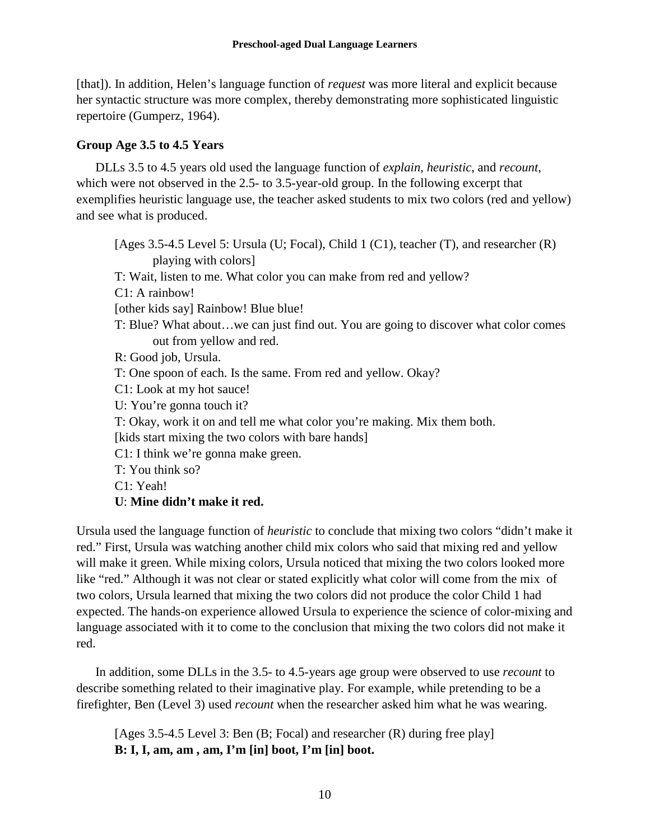[that]). In addition, Helen's language function of *request* was more literal and explicit because her syntactic structure was more complex, thereby demonstrating more sophisticated linguistic repertoire (Gumperz, 1964).

### **Group Age 3.5 to 4.5 Years**

DLLs 3.5 to 4.5 years old used the language function of *explain*, *heuristic*, and *recount*, which were not observed in the 2.5- to 3.5-year-old group. In the following excerpt that exemplifies heuristic language use, the teacher asked students to mix two colors (red and yellow) and see what is produced.

[Ages 3.5-4.5 Level 5: Ursula (U; Focal), Child 1 (C1), teacher (T), and researcher (R) playing with colors] T: Wait, listen to me. What color you can make from red and yellow? C1: A rainbow! [other kids say] Rainbow! Blue blue! T: Blue? What about…we can just find out. You are going to discover what color comes out from yellow and red. R: Good job, Ursula. T: One spoon of each. Is the same. From red and yellow. Okay? C1: Look at my hot sauce! U: You're gonna touch it? T: Okay, work it on and tell me what color you're making. Mix them both. [kids start mixing the two colors with bare hands] C1: I think we're gonna make green. T: You think so? C1: Yeah! **U**: **Mine didn't make it red.**

Ursula used the language function of *heuristic* to conclude that mixing two colors "didn't make it red." First, Ursula was watching another child mix colors who said that mixing red and yellow will make it green. While mixing colors, Ursula noticed that mixing the two colors looked more like "red." Although it was not clear or stated explicitly what color will come from the mix of two colors, Ursula learned that mixing the two colors did not produce the color Child 1 had expected. The hands-on experience allowed Ursula to experience the science of color-mixing and language associated with it to come to the conclusion that mixing the two colors did not make it red.

In addition, some DLLs in the 3.5- to 4.5-years age group were observed to use *recount* to describe something related to their imaginative play. For example, while pretending to be a firefighter, Ben (Level 3) used *recount* when the researcher asked him what he was wearing.

[Ages 3.5-4.5 Level 3: Ben (B; Focal) and researcher (R) during free play] **B: I, I, am, am , am, I'm [in] boot, I'm [in] boot.**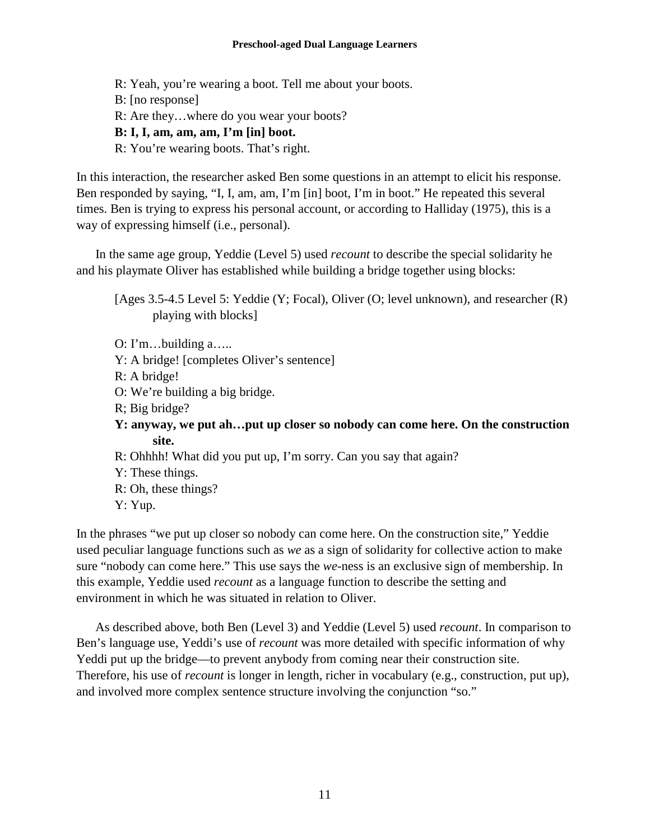#### **Preschool-aged Dual Language Learners**

R: Yeah, you're wearing a boot. Tell me about your boots. B: [no response] R: Are they…where do you wear your boots? **B: I, I, am, am, am, I'm [in] boot.**  R: You're wearing boots. That's right.

In this interaction, the researcher asked Ben some questions in an attempt to elicit his response. Ben responded by saying, "I, I, am, am, I'm [in] boot, I'm in boot." He repeated this several times. Ben is trying to express his personal account, or according to Halliday (1975), this is a way of expressing himself (i.e., personal).

In the same age group, Yeddie (Level 5) used *recount* to describe the special solidarity he and his playmate Oliver has established while building a bridge together using blocks:

[Ages 3.5-4.5 Level 5: Yeddie (Y; Focal), Oliver (O; level unknown), and researcher (R) playing with blocks]

- O: I'm…building a…..
- Y: A bridge! [completes Oliver's sentence]
- R: A bridge!
- O: We're building a big bridge.
- R; Big bridge?
- **Y: anyway, we put ah…put up closer so nobody can come here. On the construction site.**
- R: Ohhhh! What did you put up, I'm sorry. Can you say that again?
- Y: These things.
- R: Oh, these things?
- Y: Yup.

In the phrases "we put up closer so nobody can come here. On the construction site," Yeddie used peculiar language functions such as *we* as a sign of solidarity for collective action to make sure "nobody can come here." This use says the *we*-ness is an exclusive sign of membership. In this example, Yeddie used *recount* as a language function to describe the setting and environment in which he was situated in relation to Oliver.

As described above, both Ben (Level 3) and Yeddie (Level 5) used *recount*. In comparison to Ben's language use, Yeddi's use of *recount* was more detailed with specific information of why Yeddi put up the bridge—to prevent anybody from coming near their construction site. Therefore, his use of *recount* is longer in length, richer in vocabulary (e.g., construction, put up), and involved more complex sentence structure involving the conjunction "so."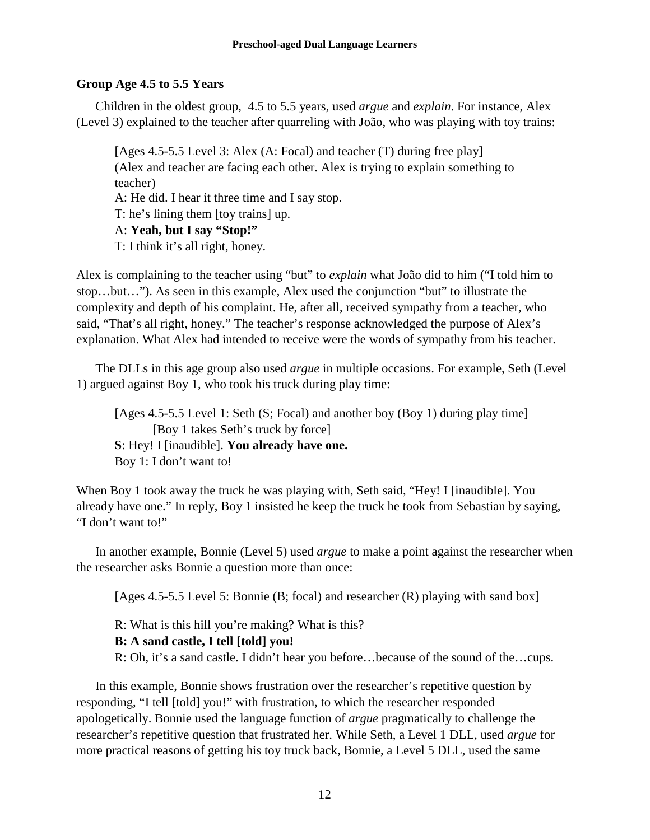#### **Group Age 4.5 to 5.5 Years**

Children in the oldest group, 4.5 to 5.5 years, used *argue* and *explain*. For instance, Alex (Level 3) explained to the teacher after quarreling with João, who was playing with toy trains:

[Ages 4.5-5.5 Level 3: Alex (A: Focal) and teacher (T) during free play] (Alex and teacher are facing each other. Alex is trying to explain something to teacher) A: He did. I hear it three time and I say stop. T: he's lining them [toy trains] up. A: **Yeah, but I say "Stop!"** T: I think it's all right, honey.

Alex is complaining to the teacher using "but" to *explain* what João did to him ("I told him to stop…but…"). As seen in this example, Alex used the conjunction "but" to illustrate the complexity and depth of his complaint. He, after all, received sympathy from a teacher, who said, "That's all right, honey." The teacher's response acknowledged the purpose of Alex's explanation. What Alex had intended to receive were the words of sympathy from his teacher.

The DLLs in this age group also used *argue* in multiple occasions. For example, Seth (Level 1) argued against Boy 1, who took his truck during play time:

[Ages 4.5-5.5 Level 1: Seth (S; Focal) and another boy (Boy 1) during play time] [Boy 1 takes Seth's truck by force] **S**: Hey! I [inaudible]. **You already have one.** Boy 1: I don't want to!

When Boy 1 took away the truck he was playing with, Seth said, "Hey! I [inaudible]. You already have one." In reply, Boy 1 insisted he keep the truck he took from Sebastian by saying, "I don't want to!"

In another example, Bonnie (Level 5) used *argue* to make a point against the researcher when the researcher asks Bonnie a question more than once:

[Ages 4.5-5.5 Level 5: Bonnie (B; focal) and researcher (R) playing with sand box]

R: What is this hill you're making? What is this?

#### **B: A sand castle, I tell [told] you!**

R: Oh, it's a sand castle. I didn't hear you before…because of the sound of the…cups.

In this example, Bonnie shows frustration over the researcher's repetitive question by responding, "I tell [told] you!" with frustration, to which the researcher responded apologetically. Bonnie used the language function of *argue* pragmatically to challenge the researcher's repetitive question that frustrated her. While Seth, a Level 1 DLL, used *argue* for more practical reasons of getting his toy truck back, Bonnie, a Level 5 DLL, used the same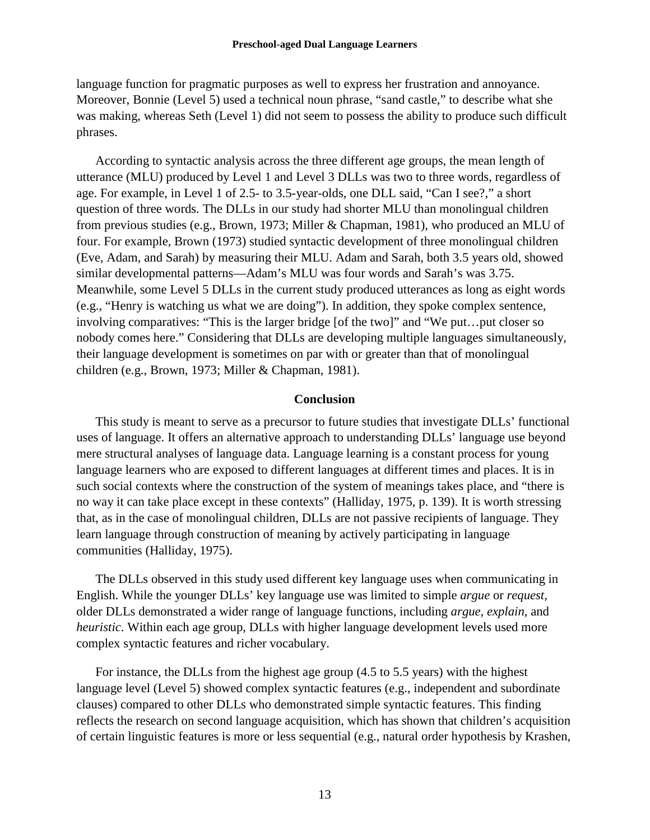language function for pragmatic purposes as well to express her frustration and annoyance. Moreover, Bonnie (Level 5) used a technical noun phrase, "sand castle," to describe what she was making, whereas Seth (Level 1) did not seem to possess the ability to produce such difficult phrases.

According to syntactic analysis across the three different age groups, the mean length of utterance (MLU) produced by Level 1 and Level 3 DLLs was two to three words, regardless of age. For example, in Level 1 of 2.5- to 3.5-year-olds, one DLL said, "Can I see?," a short question of three words. The DLLs in our study had shorter MLU than monolingual children from previous studies (e.g., Brown, 1973; Miller & Chapman, 1981), who produced an MLU of four. For example, Brown (1973) studied syntactic development of three monolingual children (Eve, Adam, and Sarah) by measuring their MLU. Adam and Sarah, both 3.5 years old, showed similar developmental patterns—Adam's MLU was four words and Sarah's was 3.75. Meanwhile, some Level 5 DLLs in the current study produced utterances as long as eight words (e.g., "Henry is watching us what we are doing"). In addition, they spoke complex sentence, involving comparatives: "This is the larger bridge [of the two]" and "We put…put closer so nobody comes here." Considering that DLLs are developing multiple languages simultaneously, their language development is sometimes on par with or greater than that of monolingual children (e.g., Brown, 1973; Miller & Chapman, 1981).

#### **Conclusion**

This study is meant to serve as a precursor to future studies that investigate DLLs' functional uses of language. It offers an alternative approach to understanding DLLs' language use beyond mere structural analyses of language data. Language learning is a constant process for young language learners who are exposed to different languages at different times and places. It is in such social contexts where the construction of the system of meanings takes place, and "there is no way it can take place except in these contexts" (Halliday, 1975, p. 139). It is worth stressing that, as in the case of monolingual children, DLLs are not passive recipients of language. They learn language through construction of meaning by actively participating in language communities (Halliday, 1975).

The DLLs observed in this study used different key language uses when communicating in English. While the younger DLLs' key language use was limited to simple *argue* or *request*, older DLLs demonstrated a wider range of language functions, including *argue*, *explain*, and *heuristic*. Within each age group, DLLs with higher language development levels used more complex syntactic features and richer vocabulary.

For instance, the DLLs from the highest age group (4.5 to 5.5 years) with the highest language level (Level 5) showed complex syntactic features (e.g., independent and subordinate clauses) compared to other DLLs who demonstrated simple syntactic features. This finding reflects the research on second language acquisition, which has shown that children's acquisition of certain linguistic features is more or less sequential (e.g., natural order hypothesis by Krashen,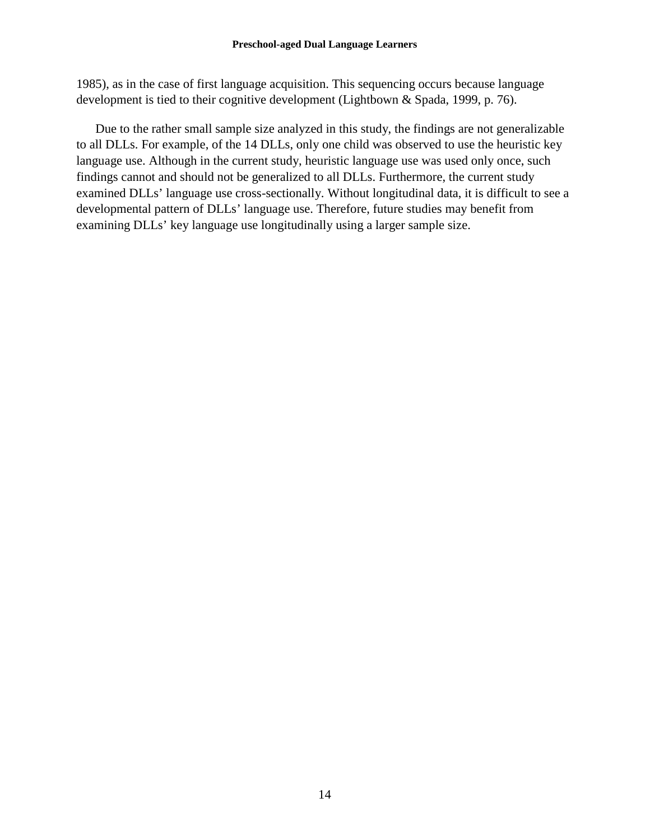1985), as in the case of first language acquisition. This sequencing occurs because language development is tied to their cognitive development (Lightbown & Spada, 1999, p. 76).

Due to the rather small sample size analyzed in this study, the findings are not generalizable to all DLLs. For example, of the 14 DLLs, only one child was observed to use the heuristic key language use. Although in the current study, heuristic language use was used only once, such findings cannot and should not be generalized to all DLLs. Furthermore, the current study examined DLLs' language use cross-sectionally. Without longitudinal data, it is difficult to see a developmental pattern of DLLs' language use. Therefore, future studies may benefit from examining DLLs' key language use longitudinally using a larger sample size.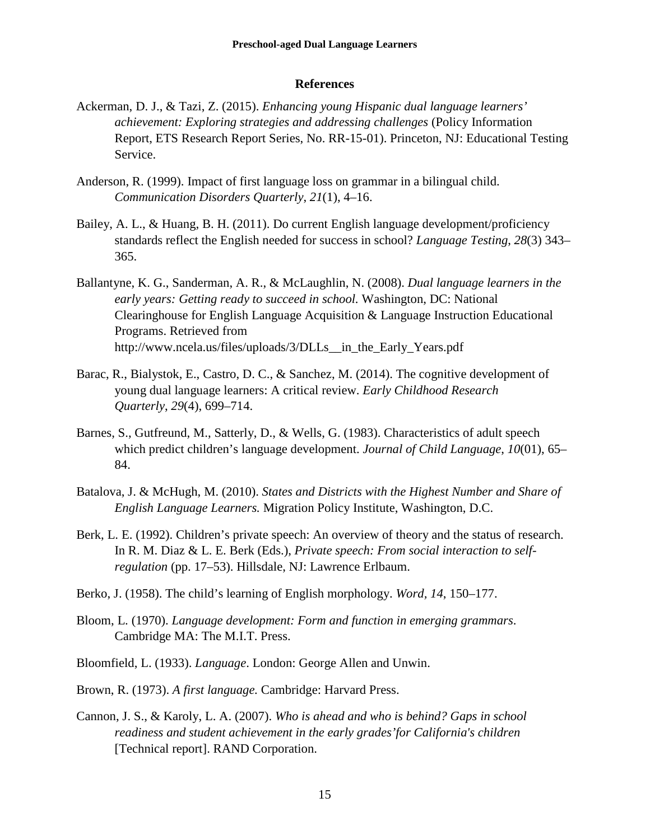#### **References**

- Ackerman, D. J., & Tazi, Z. (2015). *Enhancing young Hispanic dual language learners' achievement: Exploring strategies and addressing challenges* (Policy Information Report, ETS Research Report Series, No. RR-15-01). Princeton, NJ: Educational Testing Service.
- Anderson, R. (1999). Impact of first language loss on grammar in a bilingual child. *Communication Disorders Quarterly*, *21*(1), 4–16.
- Bailey, A. L., & Huang, B. H. (2011). Do current English language development/proficiency standards reflect the English needed for success in school? *Language Testing*, *28*(3) 343– 365.
- Ballantyne, K. G., Sanderman, A. R., & McLaughlin, N. (2008). *Dual language learners in the early years: Getting ready to succeed in school.* Washington, DC: National Clearinghouse for English Language Acquisition & Language Instruction Educational Programs. Retrieved from http://www.ncela.us/files/uploads/3/DLLs\_\_in\_the\_Early\_Years.pdf
- Barac, R., Bialystok, E., Castro, D. C., & Sanchez, M. (2014). The cognitive development of young dual language learners: A critical review. *Early Childhood Research Quarterly*, *29*(4), 699–714.
- Barnes, S., Gutfreund, M., Satterly, D., & Wells, G. (1983). Characteristics of adult speech which predict children's language development. *Journal of Child Language*, *10*(01), 65– 84.
- Batalova, J. & McHugh, M. (2010). *States and Districts with the Highest Number and Share of English Language Learners.* Migration Policy Institute, Washington, D.C.
- Berk, L. E. (1992). Children's private speech: An overview of theory and the status of research. In R. M. Diaz & L. E. Berk (Eds.), *Private speech: From social interaction to selfregulation* (pp. 17–53). Hillsdale, NJ: Lawrence Erlbaum.
- Berko, J. (1958). The child's learning of English morphology. *Word, 14*, 150–177.
- Bloom, L. (1970). *Language development: Form and function in emerging grammars*. Cambridge MA: The M.I.T. Press.
- Bloomfield, L. (1933). *Language*. London: George Allen and Unwin.
- Brown, R. (1973). *A first language.* Cambridge: Harvard Press.
- Cannon, J. S., & Karoly, L. A. (2007). *Who is ahead and who is behind? Gaps in school readiness and student achievement in the early grades'for California's children*  [Technical report]. RAND Corporation.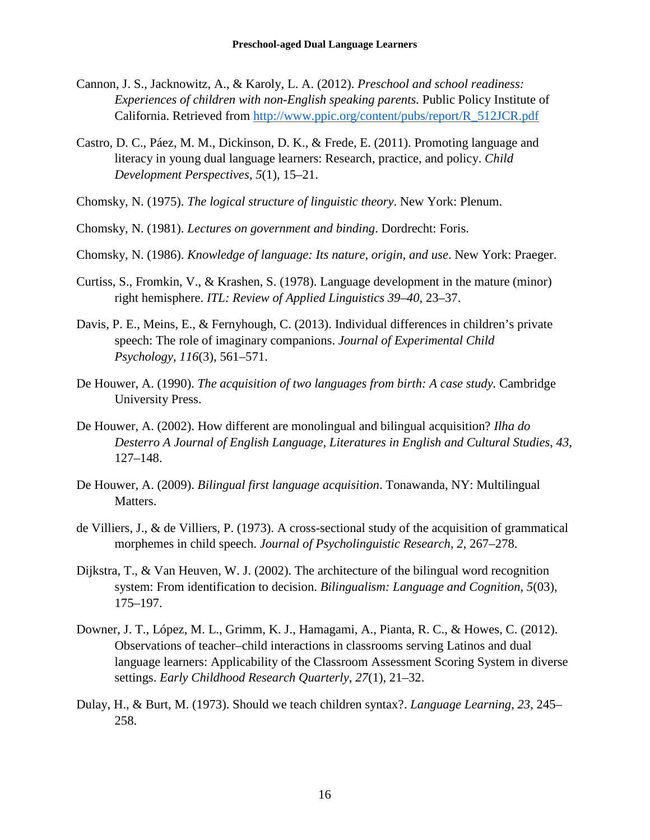- Cannon, J. S., Jacknowitz, A., & Karoly, L. A. (2012). *Preschool and school readiness: Experiences of children with non-English speaking parents.* Public Policy Institute of California. Retrieved from [http://www.ppic.org/content/pubs/report/R\\_512JCR.pdf](http://www.ppic.org/content/pubs/report/R_512JCR.pdf)
- Castro, D. C., Páez, M. M., Dickinson, D. K., & Frede, E. (2011). Promoting language and literacy in young dual language learners: Research, practice, and policy. *Child Development Perspectives*, *5*(1), 15–21.
- Chomsky, N. (1975). *The logical structure of linguistic theory*. New York: Plenum.
- Chomsky, N. (1981). *Lectures on government and binding*. Dordrecht: Foris.
- Chomsky, N. (1986). *Knowledge of language: Its nature, origin, and use*. New York: Praeger.
- Curtiss, S., Fromkin, V., & Krashen, S. (1978). Language development in the mature (minor) right hemisphere. *ITL: Review of Applied Linguistics 39–40*, 23–37.
- Davis, P. E., Meins, E., & Fernyhough, C. (2013). Individual differences in children's private speech: The role of imaginary companions. *Journal of Experimental Child Psychology*, *116*(3), 561–571.
- De Houwer, A. (1990). *The acquisition of two languages from birth: A case study.* Cambridge University Press.
- De Houwer, A. (2002). How different are monolingual and bilingual acquisition? *Ilha do Desterro A Journal of English Language, Literatures in English and Cultural Studies*, *43*, 127–148.
- De Houwer, A. (2009). *Bilingual first language acquisition*. Tonawanda, NY: Multilingual Matters.
- de Villiers, J., & de Villiers, P. (1973). A cross-sectional study of the acquisition of grammatical morphemes in child speech. *Journal of Psycholinguistic Research, 2*, 267–278.
- Dijkstra, T., & Van Heuven, W. J. (2002). The architecture of the bilingual word recognition system: From identification to decision. *Bilingualism: Language and Cognition*, *5*(03), 175–197.
- Downer, J. T., López, M. L., Grimm, K. J., Hamagami, A., Pianta, R. C., & Howes, C. (2012). Observations of teacher–child interactions in classrooms serving Latinos and dual language learners: Applicability of the Classroom Assessment Scoring System in diverse settings. *Early Childhood Research Quarterly*, *27*(1), 21–32.
- Dulay, H., & Burt, M. (1973). Should we teach children syntax?. *Language Learning, 23*, 245– 258.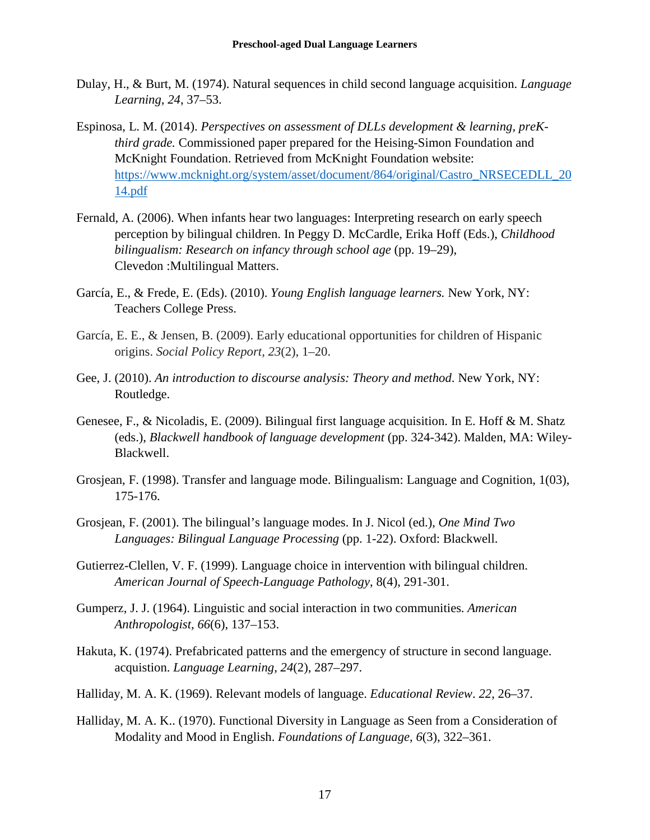- Dulay, H., & Burt, M. (1974). Natural sequences in child second language acquisition. *Language Learning, 24*, 37–53.
- Espinosa, L. M. (2014). *Perspectives on assessment of DLLs development & learning, preKthird grade.* Commissioned paper prepared for the Heising-Simon Foundation and McKnight Foundation. Retrieved from McKnight Foundation website: [https://www.mcknight.org/system/asset/document/864/original/Castro\\_NRSECEDLL\\_20](https://www.mcknight.org/system/asset/document/864/original/Castro_NRSECEDLL_2014.pdf) [14.pdf](https://www.mcknight.org/system/asset/document/864/original/Castro_NRSECEDLL_2014.pdf)
- Fernald, A. (2006). When infants hear two languages: Interpreting research on early speech perception by bilingual children. In Peggy D. McCardle, Erika Hoff (Eds.), *Childhood bilingualism: Research on infancy through school age* (pp. 19–29), Clevedon :Multilingual Matters.
- García, E., & Frede, E. (Eds). (2010). *Young English language learners.* New York, NY: Teachers College Press.
- García, E. E., & Jensen, B. (2009). Early educational opportunities for children of Hispanic origins. *Social Policy Report, 23*(2), 1–20.
- Gee, J. (2010). *An introduction to discourse analysis: Theory and method*. New York, NY: Routledge.
- Genesee, F., & Nicoladis, E. (2009). Bilingual first language acquisition. In E. Hoff & M. Shatz (eds.), *Blackwell handbook of language development* (pp. 324-342). Malden, MA: Wiley-Blackwell.
- Grosjean, F. (1998). Transfer and language mode. Bilingualism: Language and Cognition, 1(03), 175-176.
- Grosjean, F. (2001). The bilingual's language modes. In J. Nicol (ed.), *One Mind Two Languages: Bilingual Language Processing* (pp. 1-22). Oxford: Blackwell.
- Gutierrez-Clellen, V. F. (1999). Language choice in intervention with bilingual children. *American Journal of Speech-Language Pathology*, 8(4), 291-301.
- Gumperz, J. J. (1964). Linguistic and social interaction in two communities. *American Anthropologist, 66*(6), 137–153.
- Hakuta, K. (1974). Prefabricated patterns and the emergency of structure in second language. acquistion. *Language Learning*, *24*(2), 287–297.
- Halliday, M. A. K. (1969). Relevant models of language. *Educational Review*. *22*, 26–37.
- Halliday, M. A. K.. (1970). Functional Diversity in Language as Seen from a Consideration of Modality and Mood in English. *Foundations of Language, 6*(3), 322–361.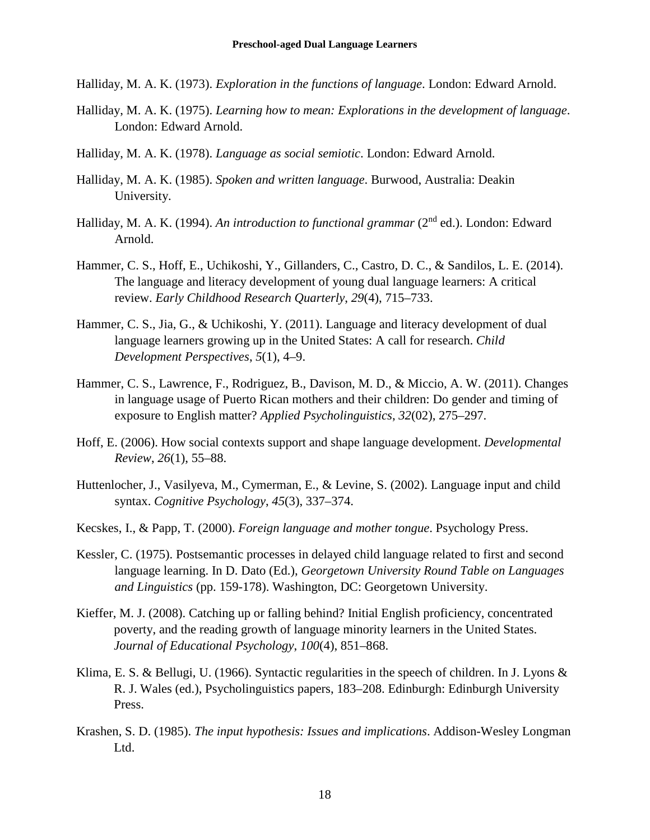- Halliday, M. A. K. (1973). *Exploration in the functions of language*. London: Edward Arnold.
- Halliday, M. A. K. (1975). *Learning how to mean: Explorations in the development of language*. London: Edward Arnold.
- Halliday, M. A. K. (1978). *Language as social semiotic*. London: Edward Arnold.
- Halliday, M. A. K. (1985). *Spoken and written language*. Burwood, Australia: Deakin University.
- Halliday, M. A. K. (1994). *An introduction to functional grammar* (2<sup>nd</sup> ed.). London: Edward Arnold.
- Hammer, C. S., Hoff, E., Uchikoshi, Y., Gillanders, C., Castro, D. C., & Sandilos, L. E. (2014). The language and literacy development of young dual language learners: A critical review. *Early Childhood Research Quarterly*, *29*(4), 715–733.
- Hammer, C. S., Jia, G., & Uchikoshi, Y. (2011). Language and literacy development of dual language learners growing up in the United States: A call for research. *Child Development Perspectives*, *5*(1), 4–9.
- Hammer, C. S., Lawrence, F., Rodriguez, B., Davison, M. D., & Miccio, A. W. (2011). Changes in language usage of Puerto Rican mothers and their children: Do gender and timing of exposure to English matter? *Applied Psycholinguistics*, *32*(02), 275–297.
- Hoff, E. (2006). How social contexts support and shape language development. *Developmental Review*, *26*(1), 55–88.
- Huttenlocher, J., Vasilyeva, M., Cymerman, E., & Levine, S. (2002). Language input and child syntax. *Cognitive Psychology*, *45*(3), 337–374.
- Kecskes, I., & Papp, T. (2000). *Foreign language and mother tongue*. Psychology Press.
- Kessler, C. (1975). Postsemantic processes in delayed child language related to first and second language learning. In D. Dato (Ed.), *Georgetown University Round Table on Languages and Linguistics* (pp. 159-178). Washington, DC: Georgetown University.
- Kieffer, M. J. (2008). Catching up or falling behind? Initial English proficiency, concentrated poverty, and the reading growth of language minority learners in the United States. *Journal of Educational Psychology*, *100*(4), 851–868.
- Klima, E. S. & Bellugi, U. (1966). Syntactic regularities in the speech of children. In J. Lyons & R. J. Wales (ed.), Psycholinguistics papers, 183–208. Edinburgh: Edinburgh University Press.
- Krashen, S. D. (1985). *The input hypothesis: Issues and implications*. Addison-Wesley Longman Ltd.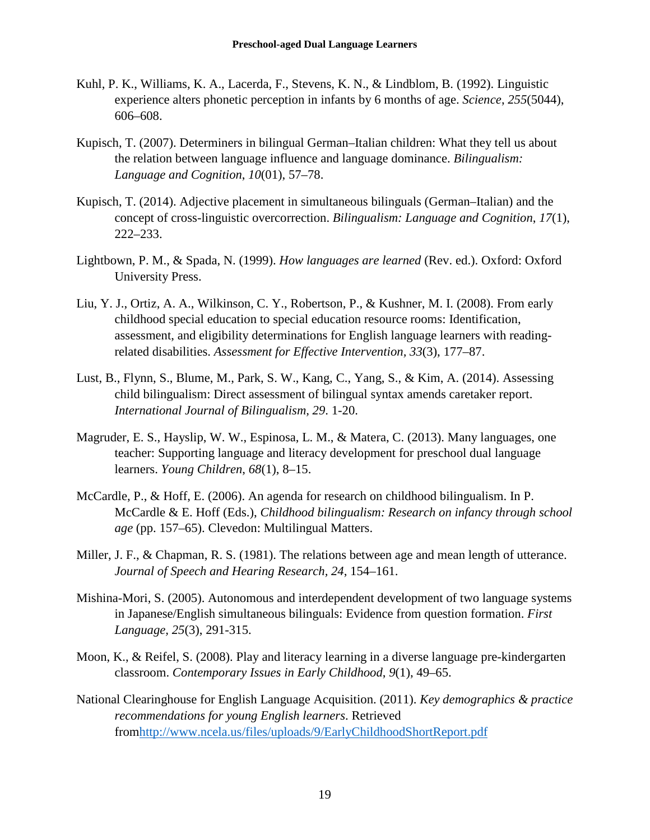- Kuhl, P. K., Williams, K. A., Lacerda, F., Stevens, K. N., & Lindblom, B. (1992). Linguistic experience alters phonetic perception in infants by 6 months of age. *Science*, *255*(5044), 606–608.
- Kupisch, T. (2007). Determiners in bilingual German–Italian children: What they tell us about the relation between language influence and language dominance. *Bilingualism: Language and Cognition*, *10*(01), 57–78.
- Kupisch, T. (2014). Adjective placement in simultaneous bilinguals (German–Italian) and the concept of cross-linguistic overcorrection. *Bilingualism: Language and Cognition*, *17*(1), 222–233.
- Lightbown, P. M., & Spada, N. (1999). *How languages are learned* (Rev. ed.). Oxford: Oxford University Press.
- Liu, Y. J., Ortiz, A. A., Wilkinson, C. Y., Robertson, P., & Kushner, M. I. (2008). From early childhood special education to special education resource rooms: Identification, assessment, and eligibility determinations for English language learners with readingrelated disabilities. *Assessment for Effective Intervention, 33*(3), 177–87.
- Lust, B., Flynn, S., Blume, M., Park, S. W., Kang, C., Yang, S., & Kim, A. (2014). Assessing child bilingualism: Direct assessment of bilingual syntax amends caretaker report. *International Journal of Bilingualism, 29*. 1-20.
- Magruder, E. S., Hayslip, W. W., Espinosa, L. M., & Matera, C. (2013). Many languages, one teacher: Supporting language and literacy development for preschool dual language learners. *Young Children*, *68*(1), 8–15.
- McCardle, P., & Hoff, E. (2006). An agenda for research on childhood bilingualism. In P. McCardle & E. Hoff (Eds.), *Childhood bilingualism: Research on infancy through school age* (pp. 157–65). Clevedon: Multilingual Matters.
- Miller, J. F., & Chapman, R. S. (1981). The relations between age and mean length of utterance. *Journal of Speech and Hearing Research, 24*, 154–161.
- Mishina-Mori, S. (2005). Autonomous and interdependent development of two language systems in Japanese/English simultaneous bilinguals: Evidence from question formation. *First Language, 25*(3), 291-315.
- Moon, K., & Reifel, S. (2008). Play and literacy learning in a diverse language pre-kindergarten classroom. *Contemporary Issues in Early Childhood*, *9*(1), 49–65.
- National Clearinghouse for English Language Acquisition. (2011). *Key demographics & practice recommendations for young English learners*. Retrieved fro[mhttp://www.ncela.us/files/uploads/9/EarlyChildhoodShortReport.pdf](http://www.ncela.us/files/uploads/9/EarlyChildhoodShortReport.pdf)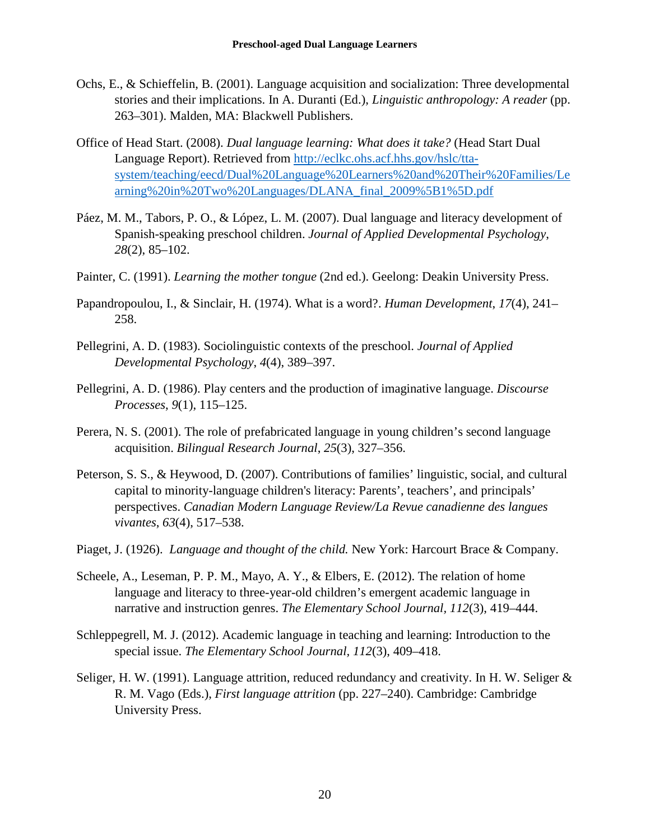- Ochs, E., & Schieffelin, B. (2001). Language acquisition and socialization: Three developmental stories and their implications. In A. Duranti (Ed.), *Linguistic anthropology: A reader* (pp. 263–301). Malden, MA: Blackwell Publishers.
- Office of Head Start. (2008). *Dual language learning: What does it take?* (Head Start Dual Language Report). Retrieved from [http://eclkc.ohs.acf.hhs.gov/hslc/tta](http://eclkc.ohs.acf.hhs.gov/hslc/tta-system/teaching/eecd/Dual%20Language%20Learners%20and%20Their%20Families/Learning%20in%20Two%20Languages/DLANA_final_2009%5B1%5D.pdf)[system/teaching/eecd/Dual%20Language%20Learners%20and%20Their%20Families/Le](http://eclkc.ohs.acf.hhs.gov/hslc/tta-system/teaching/eecd/Dual%20Language%20Learners%20and%20Their%20Families/Learning%20in%20Two%20Languages/DLANA_final_2009%5B1%5D.pdf) [arning%20in%20Two%20Languages/DLANA\\_final\\_2009%5B1%5D.pdf](http://eclkc.ohs.acf.hhs.gov/hslc/tta-system/teaching/eecd/Dual%20Language%20Learners%20and%20Their%20Families/Learning%20in%20Two%20Languages/DLANA_final_2009%5B1%5D.pdf)
- Páez, M. M., Tabors, P. O., & López, L. M. (2007). Dual language and literacy development of Spanish-speaking preschool children. *Journal of Applied Developmental Psychology*, *28*(2), 85–102.
- Painter, C. (1991). *Learning the mother tongue* (2nd ed.). Geelong: Deakin University Press.
- Papandropoulou, I., & Sinclair, H. (1974). What is a word?. *Human Development*, *17*(4), 241– 258.
- Pellegrini, A. D. (1983). Sociolinguistic contexts of the preschool. *Journal of Applied Developmental Psychology*, *4*(4), 389–397.
- Pellegrini, A. D. (1986). Play centers and the production of imaginative language. *Discourse Processes*, *9*(1), 115–125.
- Perera, N. S. (2001). The role of prefabricated language in young children's second language acquisition. *Bilingual Research Journal*, *25*(3), 327–356.
- Peterson, S. S., & Heywood, D. (2007). Contributions of families' linguistic, social, and cultural capital to minority-language children's literacy: Parents', teachers', and principals' perspectives. *Canadian Modern Language Review/La Revue canadienne des langues vivantes*, *63*(4), 517–538.
- Piaget, J. (1926). *Language and thought of the child.* New York: Harcourt Brace & Company.
- Scheele, A., Leseman, P. P. M., Mayo, A. Y., & Elbers, E. (2012). The relation of home language and literacy to three-year-old children's emergent academic language in narrative and instruction genres. *The Elementary School Journal, 112*(3), 419–444.
- Schleppegrell, M. J. (2012). Academic language in teaching and learning: Introduction to the special issue. *The Elementary School Journal, 112*(3), 409–418.
- Seliger, H. W. (1991). Language attrition, reduced redundancy and creativity. In H. W. Seliger & R. M. Vago (Eds.), *First language attrition* (pp. 227–240). Cambridge: Cambridge University Press.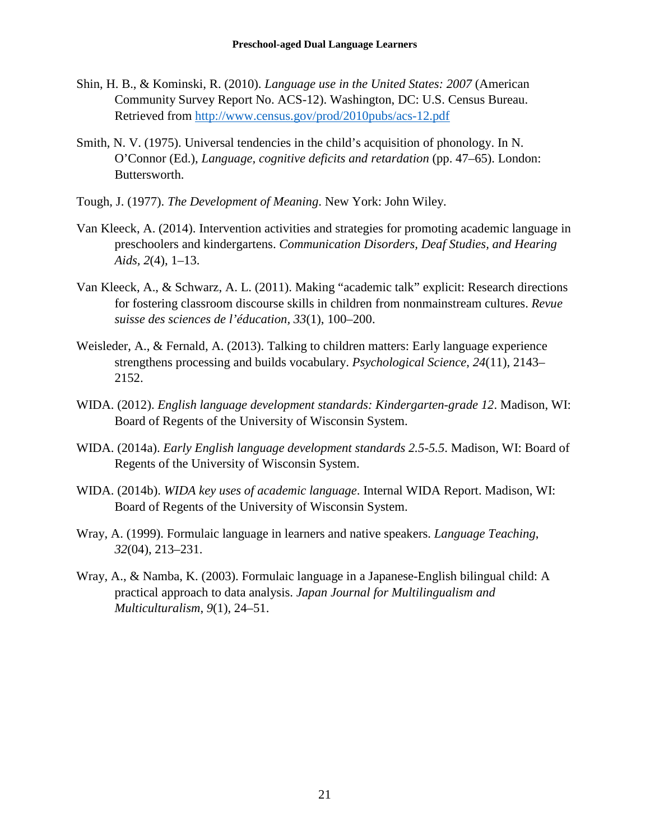- Shin, H. B., & Kominski, R. (2010). *Language use in the United States: 2007* (American Community Survey Report No. ACS-12). Washington, DC: U.S. Census Bureau. Retrieved from<http://www.census.gov/prod/2010pubs/acs-12.pdf>
- Smith, N. V. (1975). Universal tendencies in the child's acquisition of phonology. In N. O'Connor (Ed.), *Language, cognitive deficits and retardation* (pp. 47–65). London: Buttersworth.
- Tough, J. (1977). *The Development of Meaning*. New York: John Wiley.
- Van Kleeck, A. (2014). Intervention activities and strategies for promoting academic language in preschoolers and kindergartens. *Communication Disorders, Deaf Studies, and Hearing Aids, 2*(4), 1–13.
- Van Kleeck, A., & Schwarz, A. L. (2011). Making "academic talk" explicit: Research directions for fostering classroom discourse skills in children from nonmainstream cultures. *Revue suisse des sciences de l'éducation, 33*(1), 100–200.
- Weisleder, A., & Fernald, A. (2013). Talking to children matters: Early language experience strengthens processing and builds vocabulary. *Psychological Science*, *24*(11), 2143– 2152.
- WIDA. (2012). *English language development standards: Kindergarten-grade 12*. Madison, WI: Board of Regents of the University of Wisconsin System.
- WIDA. (2014a). *Early English language development standards 2.5-5.5*. Madison, WI: Board of Regents of the University of Wisconsin System.
- WIDA. (2014b). *WIDA key uses of academic language*. Internal WIDA Report. Madison, WI: Board of Regents of the University of Wisconsin System.
- Wray, A. (1999). Formulaic language in learners and native speakers. *Language Teaching*, *32*(04), 213–231.
- Wray, A., & Namba, K. (2003). Formulaic language in a Japanese-English bilingual child: A practical approach to data analysis. *Japan Journal for Multilingualism and Multiculturalism*, *9*(1), 24–51.